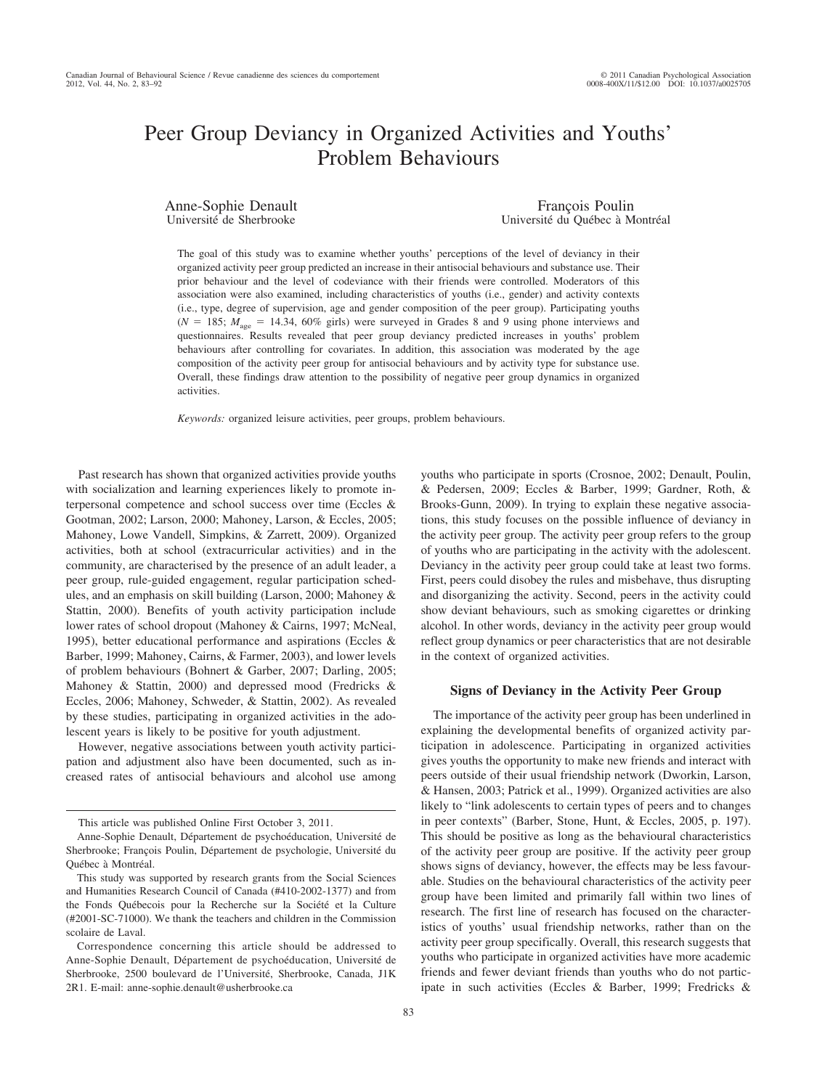# Peer Group Deviancy in Organized Activities and Youths' Problem Behaviours

Anne-Sophie Denault Université de Sherbrooke

François Poulin Université du Québec à Montréal

The goal of this study was to examine whether youths' perceptions of the level of deviancy in their organized activity peer group predicted an increase in their antisocial behaviours and substance use. Their prior behaviour and the level of codeviance with their friends were controlled. Moderators of this association were also examined, including characteristics of youths (i.e., gender) and activity contexts (i.e., type, degree of supervision, age and gender composition of the peer group). Participating youths  $(N = 185; M<sub>age</sub> = 14.34, 60\%$  girls) were surveyed in Grades 8 and 9 using phone interviews and questionnaires. Results revealed that peer group deviancy predicted increases in youths' problem behaviours after controlling for covariates. In addition, this association was moderated by the age composition of the activity peer group for antisocial behaviours and by activity type for substance use. Overall, these findings draw attention to the possibility of negative peer group dynamics in organized activities.

*Keywords:* organized leisure activities, peer groups, problem behaviours.

Past research has shown that organized activities provide youths with socialization and learning experiences likely to promote interpersonal competence and school success over time (Eccles & Gootman, 2002; Larson, 2000; Mahoney, Larson, & Eccles, 2005; Mahoney, Lowe Vandell, Simpkins, & Zarrett, 2009). Organized activities, both at school (extracurricular activities) and in the community, are characterised by the presence of an adult leader, a peer group, rule-guided engagement, regular participation schedules, and an emphasis on skill building (Larson, 2000; Mahoney & Stattin, 2000). Benefits of youth activity participation include lower rates of school dropout (Mahoney & Cairns, 1997; McNeal, 1995), better educational performance and aspirations (Eccles & Barber, 1999; Mahoney, Cairns, & Farmer, 2003), and lower levels of problem behaviours (Bohnert & Garber, 2007; Darling, 2005; Mahoney & Stattin, 2000) and depressed mood (Fredricks & Eccles, 2006; Mahoney, Schweder, & Stattin, 2002). As revealed by these studies, participating in organized activities in the adolescent years is likely to be positive for youth adjustment.

However, negative associations between youth activity participation and adjustment also have been documented, such as increased rates of antisocial behaviours and alcohol use among youths who participate in sports (Crosnoe, 2002; Denault, Poulin, & Pedersen, 2009; Eccles & Barber, 1999; Gardner, Roth, & Brooks-Gunn, 2009). In trying to explain these negative associations, this study focuses on the possible influence of deviancy in the activity peer group. The activity peer group refers to the group of youths who are participating in the activity with the adolescent. Deviancy in the activity peer group could take at least two forms. First, peers could disobey the rules and misbehave, thus disrupting and disorganizing the activity. Second, peers in the activity could show deviant behaviours, such as smoking cigarettes or drinking alcohol. In other words, deviancy in the activity peer group would reflect group dynamics or peer characteristics that are not desirable in the context of organized activities.

### **Signs of Deviancy in the Activity Peer Group**

The importance of the activity peer group has been underlined in explaining the developmental benefits of organized activity participation in adolescence. Participating in organized activities gives youths the opportunity to make new friends and interact with peers outside of their usual friendship network (Dworkin, Larson, & Hansen, 2003; Patrick et al., 1999). Organized activities are also likely to "link adolescents to certain types of peers and to changes in peer contexts" (Barber, Stone, Hunt, & Eccles, 2005, p. 197). This should be positive as long as the behavioural characteristics of the activity peer group are positive. If the activity peer group shows signs of deviancy, however, the effects may be less favourable. Studies on the behavioural characteristics of the activity peer group have been limited and primarily fall within two lines of research. The first line of research has focused on the characteristics of youths' usual friendship networks, rather than on the activity peer group specifically. Overall, this research suggests that youths who participate in organized activities have more academic friends and fewer deviant friends than youths who do not participate in such activities (Eccles & Barber, 1999; Fredricks &

This article was published Online First October 3, 2011.

Anne-Sophie Denault, Département de psychoéducation, Université de Sherbrooke; François Poulin, Département de psychologie, Université du Québec à Montréal.

This study was supported by research grants from the Social Sciences and Humanities Research Council of Canada (#410-2002-1377) and from the Fonds Québecois pour la Recherche sur la Société et la Culture (#2001-SC-71000). We thank the teachers and children in the Commission scolaire de Laval.

Correspondence concerning this article should be addressed to Anne-Sophie Denault, Département de psychoéducation, Université de Sherbrooke, 2500 boulevard de l'Université, Sherbrooke, Canada, J1K 2R1. E-mail: anne-sophie.denault@usherbrooke.ca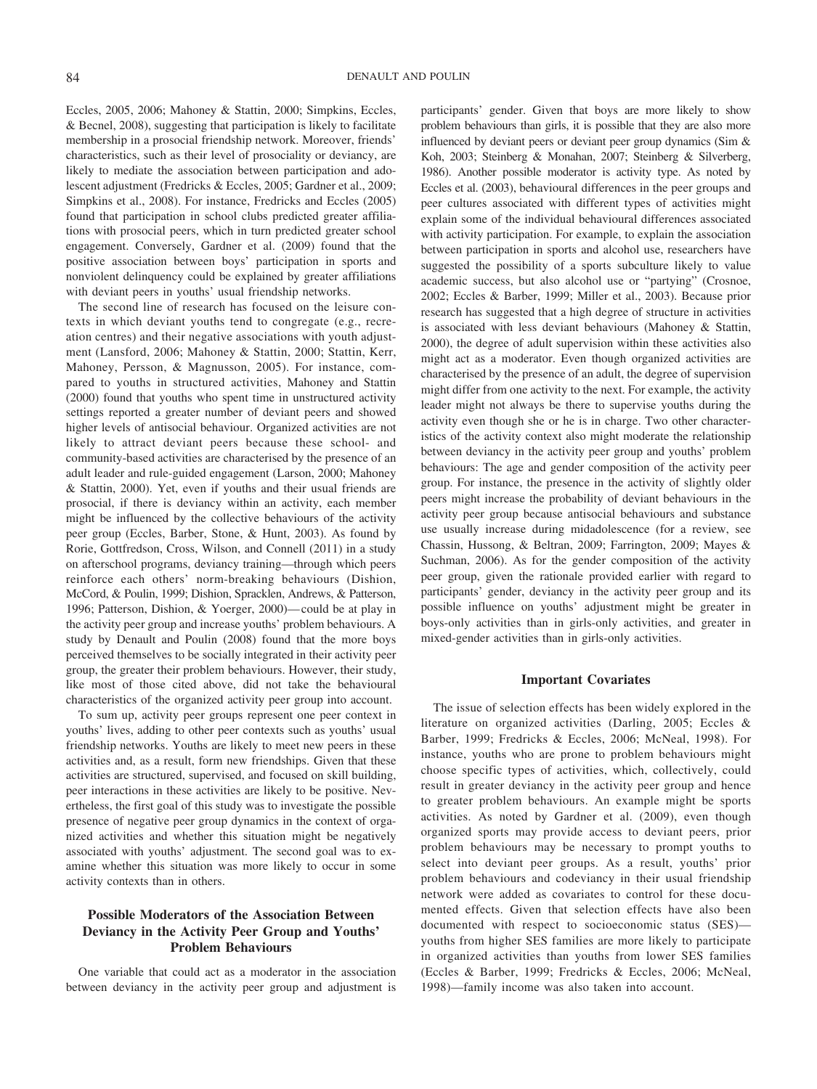Eccles, 2005, 2006; Mahoney & Stattin, 2000; Simpkins, Eccles, & Becnel, 2008), suggesting that participation is likely to facilitate membership in a prosocial friendship network. Moreover, friends' characteristics, such as their level of prosociality or deviancy, are likely to mediate the association between participation and adolescent adjustment (Fredricks & Eccles, 2005; Gardner et al., 2009; Simpkins et al., 2008). For instance, Fredricks and Eccles (2005) found that participation in school clubs predicted greater affiliations with prosocial peers, which in turn predicted greater school engagement. Conversely, Gardner et al. (2009) found that the positive association between boys' participation in sports and nonviolent delinquency could be explained by greater affiliations with deviant peers in youths' usual friendship networks.

The second line of research has focused on the leisure contexts in which deviant youths tend to congregate (e.g., recreation centres) and their negative associations with youth adjustment (Lansford, 2006; Mahoney & Stattin, 2000; Stattin, Kerr, Mahoney, Persson, & Magnusson, 2005). For instance, compared to youths in structured activities, Mahoney and Stattin (2000) found that youths who spent time in unstructured activity settings reported a greater number of deviant peers and showed higher levels of antisocial behaviour. Organized activities are not likely to attract deviant peers because these school- and community-based activities are characterised by the presence of an adult leader and rule-guided engagement (Larson, 2000; Mahoney & Stattin, 2000). Yet, even if youths and their usual friends are prosocial, if there is deviancy within an activity, each member might be influenced by the collective behaviours of the activity peer group (Eccles, Barber, Stone, & Hunt, 2003). As found by Rorie, Gottfredson, Cross, Wilson, and Connell (2011) in a study on afterschool programs, deviancy training—through which peers reinforce each others' norm-breaking behaviours (Dishion, McCord, & Poulin, 1999; Dishion, Spracklen, Andrews, & Patterson, 1996; Patterson, Dishion, & Yoerger, 2000)— could be at play in the activity peer group and increase youths' problem behaviours. A study by Denault and Poulin (2008) found that the more boys perceived themselves to be socially integrated in their activity peer group, the greater their problem behaviours. However, their study, like most of those cited above, did not take the behavioural characteristics of the organized activity peer group into account.

To sum up, activity peer groups represent one peer context in youths' lives, adding to other peer contexts such as youths' usual friendship networks. Youths are likely to meet new peers in these activities and, as a result, form new friendships. Given that these activities are structured, supervised, and focused on skill building, peer interactions in these activities are likely to be positive. Nevertheless, the first goal of this study was to investigate the possible presence of negative peer group dynamics in the context of organized activities and whether this situation might be negatively associated with youths' adjustment. The second goal was to examine whether this situation was more likely to occur in some activity contexts than in others.

# **Possible Moderators of the Association Between Deviancy in the Activity Peer Group and Youths' Problem Behaviours**

One variable that could act as a moderator in the association between deviancy in the activity peer group and adjustment is participants' gender. Given that boys are more likely to show problem behaviours than girls, it is possible that they are also more influenced by deviant peers or deviant peer group dynamics (Sim & Koh, 2003; Steinberg & Monahan, 2007; Steinberg & Silverberg, 1986). Another possible moderator is activity type. As noted by Eccles et al. (2003), behavioural differences in the peer groups and peer cultures associated with different types of activities might explain some of the individual behavioural differences associated with activity participation. For example, to explain the association between participation in sports and alcohol use, researchers have suggested the possibility of a sports subculture likely to value academic success, but also alcohol use or "partying" (Crosnoe, 2002; Eccles & Barber, 1999; Miller et al., 2003). Because prior research has suggested that a high degree of structure in activities is associated with less deviant behaviours (Mahoney & Stattin, 2000), the degree of adult supervision within these activities also might act as a moderator. Even though organized activities are characterised by the presence of an adult, the degree of supervision might differ from one activity to the next. For example, the activity leader might not always be there to supervise youths during the activity even though she or he is in charge. Two other characteristics of the activity context also might moderate the relationship between deviancy in the activity peer group and youths' problem behaviours: The age and gender composition of the activity peer group. For instance, the presence in the activity of slightly older peers might increase the probability of deviant behaviours in the activity peer group because antisocial behaviours and substance use usually increase during midadolescence (for a review, see Chassin, Hussong, & Beltran, 2009; Farrington, 2009; Mayes & Suchman, 2006). As for the gender composition of the activity peer group, given the rationale provided earlier with regard to participants' gender, deviancy in the activity peer group and its possible influence on youths' adjustment might be greater in boys-only activities than in girls-only activities, and greater in mixed-gender activities than in girls-only activities.

# **Important Covariates**

The issue of selection effects has been widely explored in the literature on organized activities (Darling, 2005; Eccles & Barber, 1999; Fredricks & Eccles, 2006; McNeal, 1998). For instance, youths who are prone to problem behaviours might choose specific types of activities, which, collectively, could result in greater deviancy in the activity peer group and hence to greater problem behaviours. An example might be sports activities. As noted by Gardner et al. (2009), even though organized sports may provide access to deviant peers, prior problem behaviours may be necessary to prompt youths to select into deviant peer groups. As a result, youths' prior problem behaviours and codeviancy in their usual friendship network were added as covariates to control for these documented effects. Given that selection effects have also been documented with respect to socioeconomic status (SES) youths from higher SES families are more likely to participate in organized activities than youths from lower SES families (Eccles & Barber, 1999; Fredricks & Eccles, 2006; McNeal, 1998)—family income was also taken into account.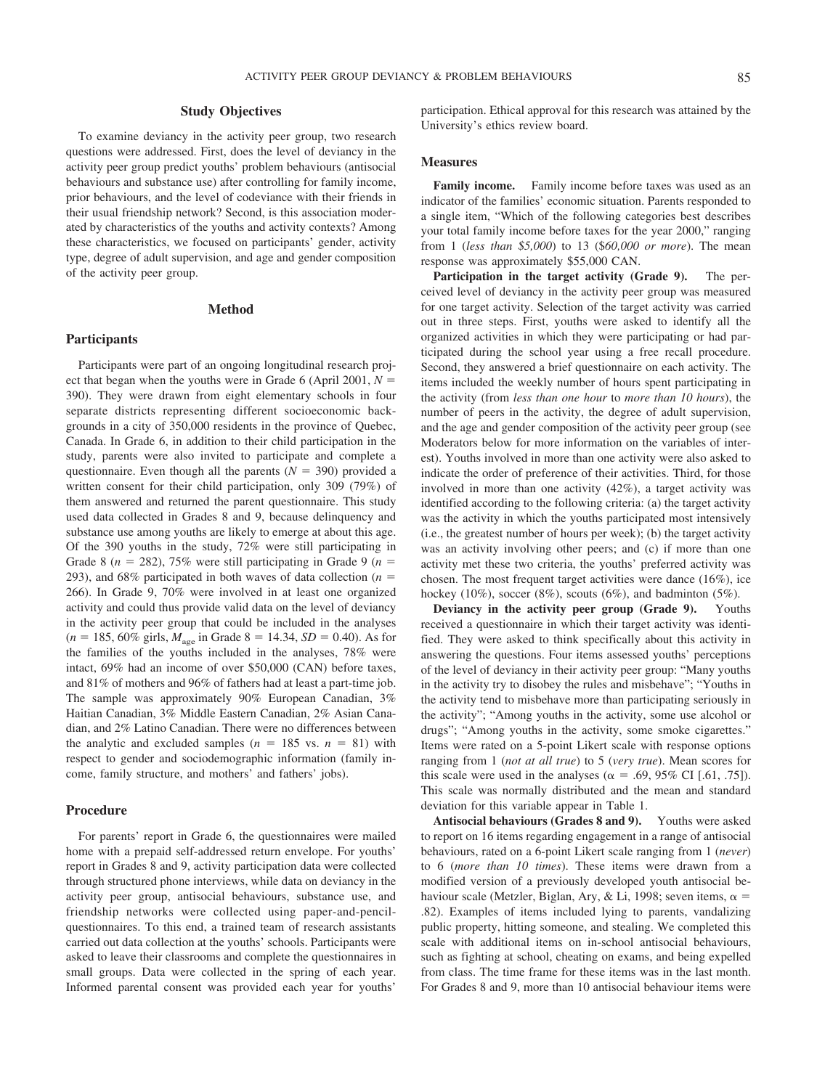# **Study Objectives**

To examine deviancy in the activity peer group, two research questions were addressed. First, does the level of deviancy in the activity peer group predict youths' problem behaviours (antisocial behaviours and substance use) after controlling for family income, prior behaviours, and the level of codeviance with their friends in their usual friendship network? Second, is this association moderated by characteristics of the youths and activity contexts? Among these characteristics, we focused on participants' gender, activity type, degree of adult supervision, and age and gender composition of the activity peer group.

### **Method**

# **Participants**

Participants were part of an ongoing longitudinal research project that began when the youths were in Grade 6 (April 2001, *N* 390). They were drawn from eight elementary schools in four separate districts representing different socioeconomic backgrounds in a city of 350,000 residents in the province of Quebec, Canada. In Grade 6, in addition to their child participation in the study, parents were also invited to participate and complete a questionnaire. Even though all the parents  $(N = 390)$  provided a written consent for their child participation, only 309 (79%) of them answered and returned the parent questionnaire. This study used data collected in Grades 8 and 9, because delinquency and substance use among youths are likely to emerge at about this age. Of the 390 youths in the study, 72% were still participating in Grade 8 ( $n = 282$ ), 75% were still participating in Grade 9 ( $n =$ 293), and 68% participated in both waves of data collection (*n* 266). In Grade 9, 70% were involved in at least one organized activity and could thus provide valid data on the level of deviancy in the activity peer group that could be included in the analyses  $(n = 185, 60\% \text{ girls}, M_{\text{age}} \text{ in Grade } 8 = 14.34, SD = 0.40)$ . As for the families of the youths included in the analyses, 78% were intact, 69% had an income of over \$50,000 (CAN) before taxes, and 81% of mothers and 96% of fathers had at least a part-time job. The sample was approximately 90% European Canadian, 3% Haitian Canadian, 3% Middle Eastern Canadian, 2% Asian Canadian, and 2% Latino Canadian. There were no differences between the analytic and excluded samples  $(n = 185 \text{ vs. } n = 81)$  with respect to gender and sociodemographic information (family income, family structure, and mothers' and fathers' jobs).

# **Procedure**

For parents' report in Grade 6, the questionnaires were mailed home with a prepaid self-addressed return envelope. For youths' report in Grades 8 and 9, activity participation data were collected through structured phone interviews, while data on deviancy in the activity peer group, antisocial behaviours, substance use, and friendship networks were collected using paper-and-pencilquestionnaires. To this end, a trained team of research assistants carried out data collection at the youths' schools. Participants were asked to leave their classrooms and complete the questionnaires in small groups. Data were collected in the spring of each year. Informed parental consent was provided each year for youths'

participation. Ethical approval for this research was attained by the University's ethics review board.

# **Measures**

**Family income.** Family income before taxes was used as an indicator of the families' economic situation. Parents responded to a single item, "Which of the following categories best describes your total family income before taxes for the year 2000," ranging from 1 (*less than \$5,000*) to 13 (\$*60,000 or more*). The mean response was approximately \$55,000 CAN.

**Participation in the target activity (Grade 9).** The perceived level of deviancy in the activity peer group was measured for one target activity. Selection of the target activity was carried out in three steps. First, youths were asked to identify all the organized activities in which they were participating or had participated during the school year using a free recall procedure. Second, they answered a brief questionnaire on each activity. The items included the weekly number of hours spent participating in the activity (from *less than one hour* to *more than 10 hours*), the number of peers in the activity, the degree of adult supervision, and the age and gender composition of the activity peer group (see Moderators below for more information on the variables of interest). Youths involved in more than one activity were also asked to indicate the order of preference of their activities. Third, for those involved in more than one activity (42%), a target activity was identified according to the following criteria: (a) the target activity was the activity in which the youths participated most intensively (i.e., the greatest number of hours per week); (b) the target activity was an activity involving other peers; and (c) if more than one activity met these two criteria, the youths' preferred activity was chosen. The most frequent target activities were dance (16%), ice hockey (10%), soccer (8%), scouts (6%), and badminton (5%).

**Deviancy in the activity peer group (Grade 9).** Youths received a questionnaire in which their target activity was identified. They were asked to think specifically about this activity in answering the questions. Four items assessed youths' perceptions of the level of deviancy in their activity peer group: "Many youths in the activity try to disobey the rules and misbehave"; "Youths in the activity tend to misbehave more than participating seriously in the activity"; "Among youths in the activity, some use alcohol or drugs"; "Among youths in the activity, some smoke cigarettes." Items were rated on a 5-point Likert scale with response options ranging from 1 (*not at all true*) to 5 (*very true*). Mean scores for this scale were used in the analyses ( $\alpha = .69, 95\%$  CI [.61, .75]). This scale was normally distributed and the mean and standard deviation for this variable appear in Table 1.

**Antisocial behaviours (Grades 8 and 9).** Youths were asked to report on 16 items regarding engagement in a range of antisocial behaviours, rated on a 6-point Likert scale ranging from 1 (*never*) to 6 (*more than 10 times*). These items were drawn from a modified version of a previously developed youth antisocial behaviour scale (Metzler, Biglan, Ary, & Li, 1998; seven items,  $\alpha =$ .82). Examples of items included lying to parents, vandalizing public property, hitting someone, and stealing. We completed this scale with additional items on in-school antisocial behaviours, such as fighting at school, cheating on exams, and being expelled from class. The time frame for these items was in the last month. For Grades 8 and 9, more than 10 antisocial behaviour items were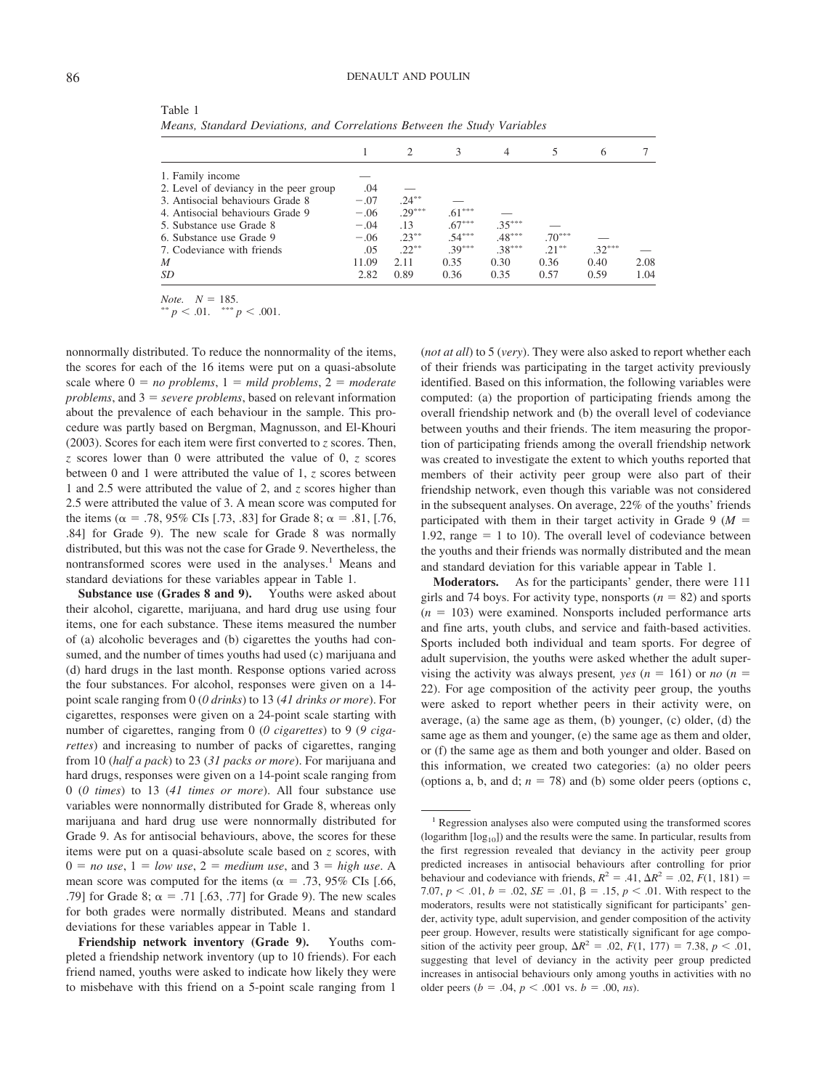|                                        |        |          | 3        | $\overline{4}$ |          | 6        |      |
|----------------------------------------|--------|----------|----------|----------------|----------|----------|------|
| 1. Family income                       |        |          |          |                |          |          |      |
| 2. Level of deviancy in the peer group | .04    |          |          |                |          |          |      |
| 3. Antisocial behaviours Grade 8       | $-.07$ | $.24***$ |          |                |          |          |      |
| 4. Antisocial behaviours Grade 9       | $-.06$ | $.29***$ | $.61***$ |                |          |          |      |
| 5. Substance use Grade 8               | $-.04$ | .13      | $.67***$ | $.35***$       |          |          |      |
| 6. Substance use Grade 9               | $-.06$ | $.23***$ | $.54***$ | $.48***$       | $.70***$ |          |      |
| 7. Codeviance with friends             | .05    | $.22***$ | $.39***$ | $.38***$       | $.21***$ | $.32***$ |      |
| M                                      | 11.09  | 2.11     | 0.35     | 0.30           | 0.36     | 0.40     | 2.08 |
| <i>SD</i>                              | 2.82   | 0.89     | 0.36     | 0.35           | 0.57     | 0.59     | 1.04 |

Table 1 *Means, Standard Deviations, and Correlations Between the Study Variables*

nonnormally distributed. To reduce the nonnormality of the items, the scores for each of the 16 items were put on a quasi-absolute scale where  $0 = no$  problems,  $1 = mild$  problems,  $2 = moderate$ *problems*, and 3 *severe problems*, based on relevant information about the prevalence of each behaviour in the sample. This procedure was partly based on Bergman, Magnusson, and El-Khouri (2003). Scores for each item were first converted to *z* scores. Then, *z* scores lower than 0 were attributed the value of 0, *z* scores between 0 and 1 were attributed the value of 1, *z* scores between 1 and 2.5 were attributed the value of 2, and *z* scores higher than 2.5 were attributed the value of 3. A mean score was computed for the items ( $\alpha = .78, 95\%$  CIs [.73, .83] for Grade 8;  $\alpha = .81$ , [.76, .84] for Grade 9). The new scale for Grade 8 was normally distributed, but this was not the case for Grade 9. Nevertheless, the nontransformed scores were used in the analyses.<sup>1</sup> Means and standard deviations for these variables appear in Table 1.

**Substance use (Grades 8 and 9).** Youths were asked about their alcohol, cigarette, marijuana, and hard drug use using four items, one for each substance. These items measured the number of (a) alcoholic beverages and (b) cigarettes the youths had consumed, and the number of times youths had used (c) marijuana and (d) hard drugs in the last month. Response options varied across the four substances. For alcohol, responses were given on a 14 point scale ranging from 0 (*0 drinks*) to 13 (*41 drinks or more*). For cigarettes, responses were given on a 24-point scale starting with number of cigarettes, ranging from 0 (*0 cigarettes*) to 9 (*9 cigarettes*) and increasing to number of packs of cigarettes, ranging from 10 (*half a pack*) to 23 (*31 packs or more*). For marijuana and hard drugs, responses were given on a 14-point scale ranging from 0 (*0 times*) to 13 (*41 times or more*). All four substance use variables were nonnormally distributed for Grade 8, whereas only marijuana and hard drug use were nonnormally distributed for Grade 9. As for antisocial behaviours, above, the scores for these items were put on a quasi-absolute scale based on *z* scores, with  $0 = no$  use,  $1 = low$  use,  $2 = medium$  use, and  $3 = high$  use. A mean score was computed for the items ( $\alpha = .73, 95\%$  CIs [.66, .79] for Grade 8;  $\alpha = .71$  [.63, .77] for Grade 9). The new scales for both grades were normally distributed. Means and standard deviations for these variables appear in Table 1.

**Friendship network inventory (Grade 9).** Youths completed a friendship network inventory (up to 10 friends). For each friend named, youths were asked to indicate how likely they were to misbehave with this friend on a 5-point scale ranging from 1 (*not at all*) to 5 (*very*). They were also asked to report whether each of their friends was participating in the target activity previously identified. Based on this information, the following variables were computed: (a) the proportion of participating friends among the overall friendship network and (b) the overall level of codeviance between youths and their friends. The item measuring the proportion of participating friends among the overall friendship network was created to investigate the extent to which youths reported that members of their activity peer group were also part of their friendship network, even though this variable was not considered in the subsequent analyses. On average, 22% of the youths' friends participated with them in their target activity in Grade 9 ( $M =$ 1.92, range  $= 1$  to 10). The overall level of codeviance between the youths and their friends was normally distributed and the mean and standard deviation for this variable appear in Table 1.

**Moderators.** As for the participants' gender, there were 111 girls and 74 boys. For activity type, nonsports  $(n = 82)$  and sports  $(n = 103)$  were examined. Nonsports included performance arts and fine arts, youth clubs, and service and faith-based activities. Sports included both individual and team sports. For degree of adult supervision, the youths were asked whether the adult supervising the activity was always present, yes  $(n = 161)$  or  $no(n = 161)$ 22). For age composition of the activity peer group, the youths were asked to report whether peers in their activity were, on average, (a) the same age as them, (b) younger, (c) older, (d) the same age as them and younger, (e) the same age as them and older, or (f) the same age as them and both younger and older. Based on this information, we created two categories: (a) no older peers (options a, b, and d;  $n = 78$ ) and (b) some older peers (options c,

*Note.*  $N = 185$ .<br>\*\*  $p < .01$ . \*\*\*  $p < .001$ .

<sup>&</sup>lt;sup>1</sup> Regression analyses also were computed using the transformed scores (logarithm  $[log_{10}]$ ) and the results were the same. In particular, results from the first regression revealed that deviancy in the activity peer group predicted increases in antisocial behaviours after controlling for prior behaviour and codeviance with friends,  $R^2 = .41$ ,  $\Delta R^2 = .02$ ,  $F(1, 181) =$ 7.07,  $p < .01$ ,  $b = .02$ ,  $SE = .01$ ,  $\beta = .15$ ,  $p < .01$ . With respect to the moderators, results were not statistically significant for participants' gender, activity type, adult supervision, and gender composition of the activity peer group. However, results were statistically significant for age composition of the activity peer group,  $\Delta R^2 = .02$ ,  $F(1, 177) = 7.38$ ,  $p < .01$ , suggesting that level of deviancy in the activity peer group predicted increases in antisocial behaviours only among youths in activities with no older peers ( $b = .04$ ,  $p < .001$  vs.  $b = .00$ , *ns*).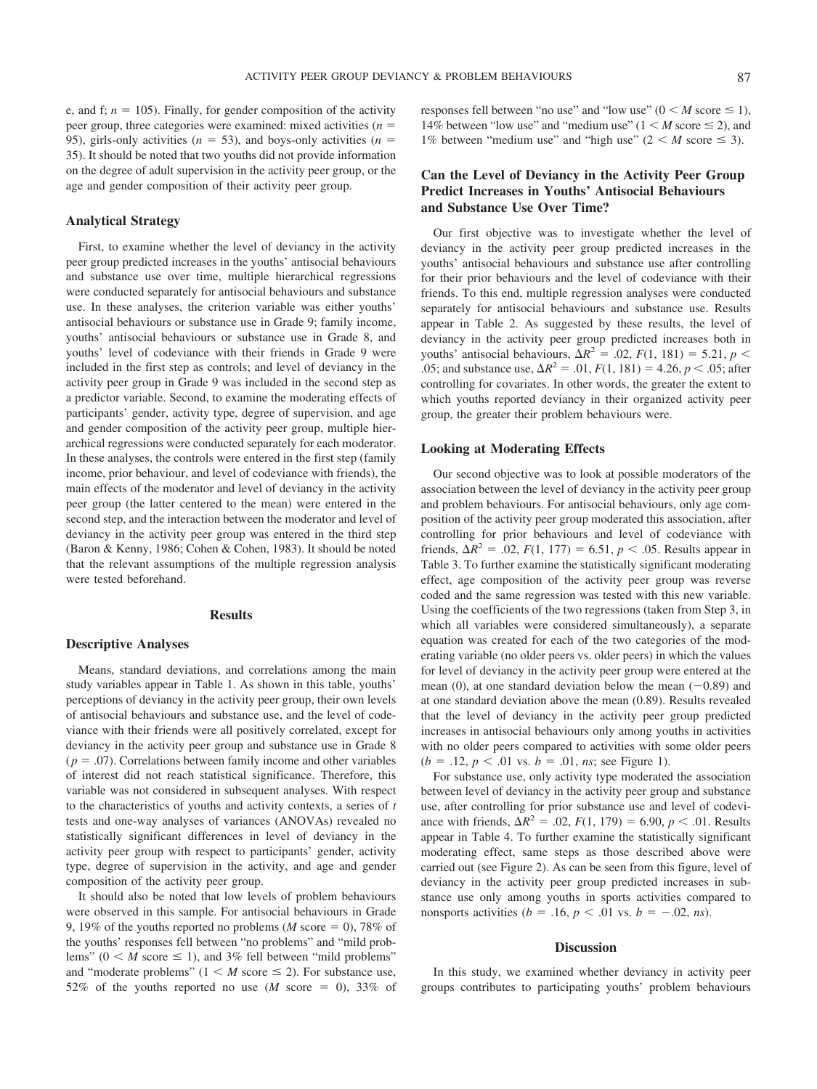e, and f;  $n = 105$ ). Finally, for gender composition of the activity peer group, three categories were examined: mixed activities (*n* 95), girls-only activities ( $n = 53$ ), and boys-only activities ( $n =$ 35). It should be noted that two youths did not provide information on the degree of adult supervision in the activity peer group, or the age and gender composition of their activity peer group.

# **Analytical Strategy**

First, to examine whether the level of deviancy in the activity peer group predicted increases in the youths' antisocial behaviours and substance use over time, multiple hierarchical regressions were conducted separately for antisocial behaviours and substance use. In these analyses, the criterion variable was either youths' antisocial behaviours or substance use in Grade 9; family income, youths' antisocial behaviours or substance use in Grade 8, and youths' level of codeviance with their friends in Grade 9 were included in the first step as controls; and level of deviancy in the activity peer group in Grade 9 was included in the second step as a predictor variable. Second, to examine the moderating effects of participants' gender, activity type, degree of supervision, and age and gender composition of the activity peer group, multiple hierarchical regressions were conducted separately for each moderator. In these analyses, the controls were entered in the first step (family income, prior behaviour, and level of codeviance with friends), the main effects of the moderator and level of deviancy in the activity peer group (the latter centered to the mean) were entered in the second step, and the interaction between the moderator and level of deviancy in the activity peer group was entered in the third step (Baron & Kenny, 1986; Cohen & Cohen, 1983). It should be noted that the relevant assumptions of the multiple regression analysis were tested beforehand.

#### **Results**

#### **Descriptive Analyses**

Means, standard deviations, and correlations among the main study variables appear in Table 1. As shown in this table, youths' perceptions of deviancy in the activity peer group, their own levels of antisocial behaviours and substance use, and the level of codeviance with their friends were all positively correlated, except for deviancy in the activity peer group and substance use in Grade 8  $(p = .07)$ . Correlations between family income and other variables of interest did not reach statistical significance. Therefore, this variable was not considered in subsequent analyses. With respect to the characteristics of youths and activity contexts, a series of *t* tests and one-way analyses of variances (ANOVAs) revealed no statistically significant differences in level of deviancy in the activity peer group with respect to participants' gender, activity type, degree of supervision in the activity, and age and gender composition of the activity peer group.

It should also be noted that low levels of problem behaviours were observed in this sample. For antisocial behaviours in Grade 9, 19% of the youths reported no problems ( $M$  score = 0), 78% of the youths' responses fell between "no problems" and "mild problems" ( $0 \le M$  score  $\le 1$ ), and 3% fell between "mild problems" and "moderate problems"  $(1 \leq M \text{ score } \leq 2)$ . For substance use, 52% of the youths reported no use  $(M \text{ score} = 0)$ , 33% of responses fell between "no use" and "low use"  $(0 < M \text{ score} \le 1)$ , 14% between "low use" and "medium use"  $(1 \leq M \text{ score} \leq 2)$ , and 1% between "medium use" and "high use"  $(2 < M \text{ score } \leq 3)$ .

# **Can the Level of Deviancy in the Activity Peer Group Predict Increases in Youths' Antisocial Behaviours and Substance Use Over Time?**

Our first objective was to investigate whether the level of deviancy in the activity peer group predicted increases in the youths' antisocial behaviours and substance use after controlling for their prior behaviours and the level of codeviance with their friends. To this end, multiple regression analyses were conducted separately for antisocial behaviours and substance use. Results appear in Table 2. As suggested by these results, the level of deviancy in the activity peer group predicted increases both in youths' antisocial behaviours,  $\Delta R^2 = .02$ ,  $F(1, 181) = 5.21$ ,  $p <$ .05; and substance use,  $\Delta R^2 = .01$ ,  $F(1, 181) = 4.26$ ,  $p < .05$ ; after controlling for covariates. In other words, the greater the extent to which youths reported deviancy in their organized activity peer group, the greater their problem behaviours were.

#### **Looking at Moderating Effects**

Our second objective was to look at possible moderators of the association between the level of deviancy in the activity peer group and problem behaviours. For antisocial behaviours, only age composition of the activity peer group moderated this association, after controlling for prior behaviours and level of codeviance with friends,  $\Delta R^2 = .02$ ,  $F(1, 177) = 6.51$ ,  $p < .05$ . Results appear in Table 3. To further examine the statistically significant moderating effect, age composition of the activity peer group was reverse coded and the same regression was tested with this new variable. Using the coefficients of the two regressions (taken from Step 3, in which all variables were considered simultaneously), a separate equation was created for each of the two categories of the moderating variable (no older peers vs. older peers) in which the values for level of deviancy in the activity peer group were entered at the mean (0), at one standard deviation below the mean  $(-0.89)$  and at one standard deviation above the mean (0.89). Results revealed that the level of deviancy in the activity peer group predicted increases in antisocial behaviours only among youths in activities with no older peers compared to activities with some older peers  $(b = .12, p < .01$  vs.  $b = .01, ns$ ; see Figure 1).

For substance use, only activity type moderated the association between level of deviancy in the activity peer group and substance use, after controlling for prior substance use and level of codeviance with friends,  $\Delta R^2 = .02$ ,  $F(1, 179) = 6.90$ ,  $p < .01$ . Results appear in Table 4. To further examine the statistically significant moderating effect, same steps as those described above were carried out (see Figure 2). As can be seen from this figure, level of deviancy in the activity peer group predicted increases in substance use only among youths in sports activities compared to nonsports activities ( $b = .16$ ,  $p < .01$  vs.  $b = -.02$ , *ns*).

### **Discussion**

In this study, we examined whether deviancy in activity peer groups contributes to participating youths' problem behaviours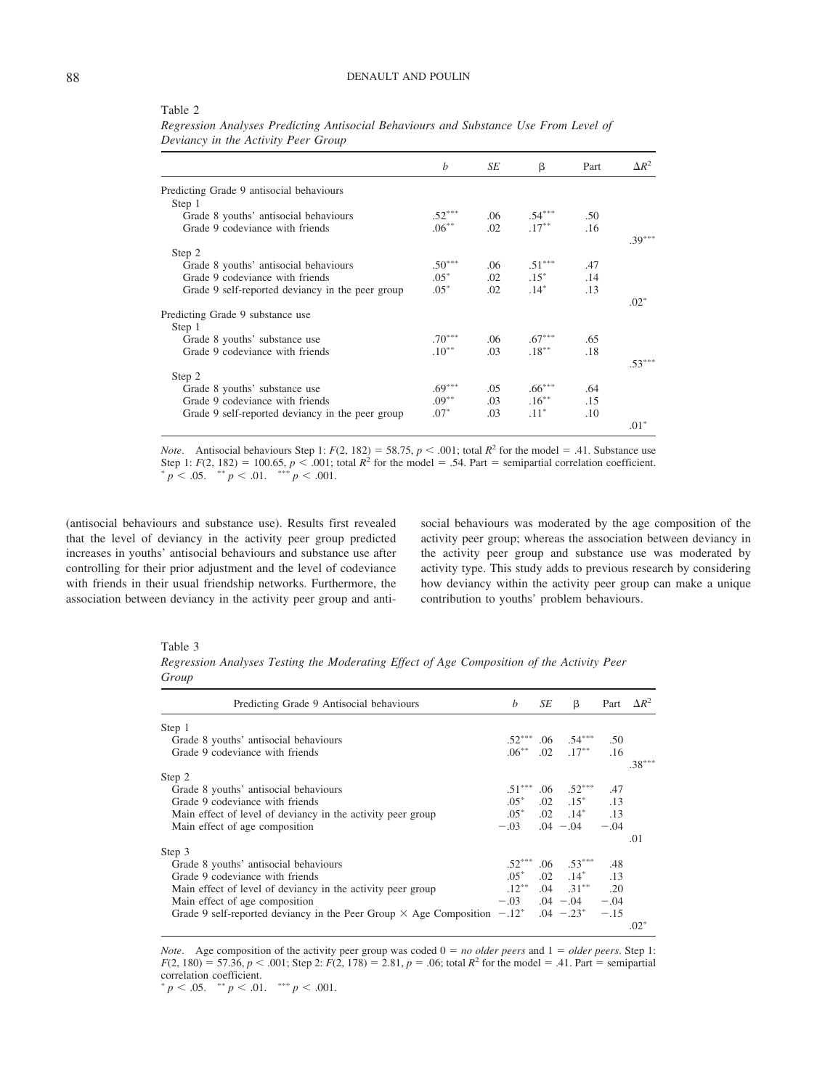### DENAULT AND POULIN

| P)           |                          |
|--------------|--------------------------|
|              | ٠                        |
|              |                          |
|              |                          |
|              |                          |
| ٦<br>×<br>۰, | ï<br>×<br>۰.<br>M.<br>۰. |

|                                                  | $\boldsymbol{b}$ | SЕ  | β        | Part | $\Lambda R^2$ |
|--------------------------------------------------|------------------|-----|----------|------|---------------|
| Predicting Grade 9 antisocial behaviours         |                  |     |          |      |               |
| Step 1                                           |                  |     |          |      |               |
| Grade 8 youths' antisocial behaviours            | $.52***$         | .06 | $.54***$ | .50  |               |
| Grade 9 codeviance with friends                  | $.06***$         | .02 | $.17***$ | .16  |               |
|                                                  |                  |     |          |      | $.39***$      |
| Step 2                                           |                  |     |          |      |               |
| Grade 8 youths' antisocial behaviours            | $.50***$         | .06 | $.51***$ | .47  |               |
| Grade 9 codeviance with friends                  | $.05*$           | .02 | $.15*$   | .14  |               |
| Grade 9 self-reported deviancy in the peer group | $.05*$           | .02 | $.14*$   | .13  |               |
|                                                  |                  |     |          |      | $.02*$        |
| Predicting Grade 9 substance use                 |                  |     |          |      |               |
| Step 1                                           |                  |     |          |      |               |
| Grade 8 youths' substance use                    | $.70***$         | .06 | $.67***$ | .65  |               |
| Grade 9 codeviance with friends                  | $.10***$         | .03 | $.18***$ | .18  |               |
|                                                  |                  |     |          |      | $.53***$      |
| Step 2                                           |                  |     |          |      |               |
| Grade 8 youths' substance use                    | $.69***$         | .05 | $.66***$ | .64  |               |
| Grade 9 codeviance with friends                  | $.09***$         | .03 | $.16***$ | .15  |               |
| Grade 9 self-reported deviancy in the peer group | $.07*$           | .03 | $.11*$   | .10  |               |
|                                                  |                  |     |          |      | $.01*$        |

Table 2 *Regression Analyses Predicting Antisocial Behaviours and Substance Use From Level of Deviancy in the Activity Peer Group*

*Note*. Antisocial behaviours Step 1:  $F(2, 182) = 58.75$ ,  $p < .001$ ; total  $R^2$  for the model = .41. Substance use Step 1: *F*(2, 182) = 100.65, *p* < .001; total *R*<sup>2</sup> for the model = .54. Part = semipartial correlation coefficient.  ${}^*p$  < .05.  ${}^{**}p$  < .01.  ${}^{***}p$  < .001.

(antisocial behaviours and substance use). Results first revealed that the level of deviancy in the activity peer group predicted increases in youths' antisocial behaviours and substance use after controlling for their prior adjustment and the level of codeviance with friends in their usual friendship networks. Furthermore, the association between deviancy in the activity peer group and antisocial behaviours was moderated by the age composition of the activity peer group; whereas the association between deviancy in the activity peer group and substance use was moderated by activity type. This study adds to previous research by considering how deviancy within the activity peer group can make a unique contribution to youths' problem behaviours.

#### Table 3

*Regression Analyses Testing the Moderating Effect of Age Composition of the Activity Peer Group*

| Predicting Grade 9 Antisocial behaviours                                                        | $\boldsymbol{b}$ | SE | $\beta$                     | Part            | $\Delta R^2$ |
|-------------------------------------------------------------------------------------------------|------------------|----|-----------------------------|-----------------|--------------|
| Step 1                                                                                          |                  |    |                             |                 |              |
| Grade 8 youths' antisocial behaviours                                                           |                  |    | $.52***$ .06 $.54***$       | .50             |              |
| Grade 9 codeviance with friends                                                                 |                  |    | $.06^{**}$ .02 .17**        | .16             |              |
|                                                                                                 |                  |    |                             |                 | $.38***$     |
| Step 2                                                                                          |                  |    |                             |                 |              |
| Grade 8 youths' antisocial behaviours                                                           | $.51***$         |    | $.06$ $.52***$              | .47             |              |
| Grade 9 codeviance with friends                                                                 | $.05^*$          |    | $.02 \t .15^*$              | .13             |              |
| Main effect of level of deviancy in the activity peer group                                     |                  |    | $.05^*$ $.02$ $.14^*$ $.13$ |                 |              |
| Main effect of age composition                                                                  |                  |    | $-.03$ .04 $-.04$ $-.04$    |                 |              |
|                                                                                                 |                  |    |                             |                 | .01          |
| Step 3                                                                                          |                  |    |                             |                 |              |
| Grade 8 youths' antisocial behaviours                                                           | $.52***$         |    | $.06$ $.53***$              | .48             |              |
| Grade 9 codeviance with friends                                                                 | $.05^*$          |    | $.02 \quad .14^*$           | .13             |              |
| Main effect of level of deviancy in the activity peer group                                     | $.12***$         |    | $.04 \t .31***$             | $\overline{20}$ |              |
| Main effect of age composition                                                                  |                  |    | $-.03$ .04 $-.04$           | $-.04$          |              |
| Grade 9 self-reported deviancy in the Peer Group $\times$ Age Composition $-.12^*$ .04 $-.23^*$ |                  |    |                             | $-.15$          |              |
|                                                                                                 |                  |    |                             |                 | $.02*$       |

*Note.* Age composition of the activity peer group was coded  $0 = no$  *older peers* and  $1 = older$  *peers*. Step 1:  $F(2, 180) = 57.36, p < .001$ ; Step 2:  $F(2, 178) = 2.81, p = .06$ ; total  $R^2$  for the model = .41. Part = semipartial correlation coefficient.

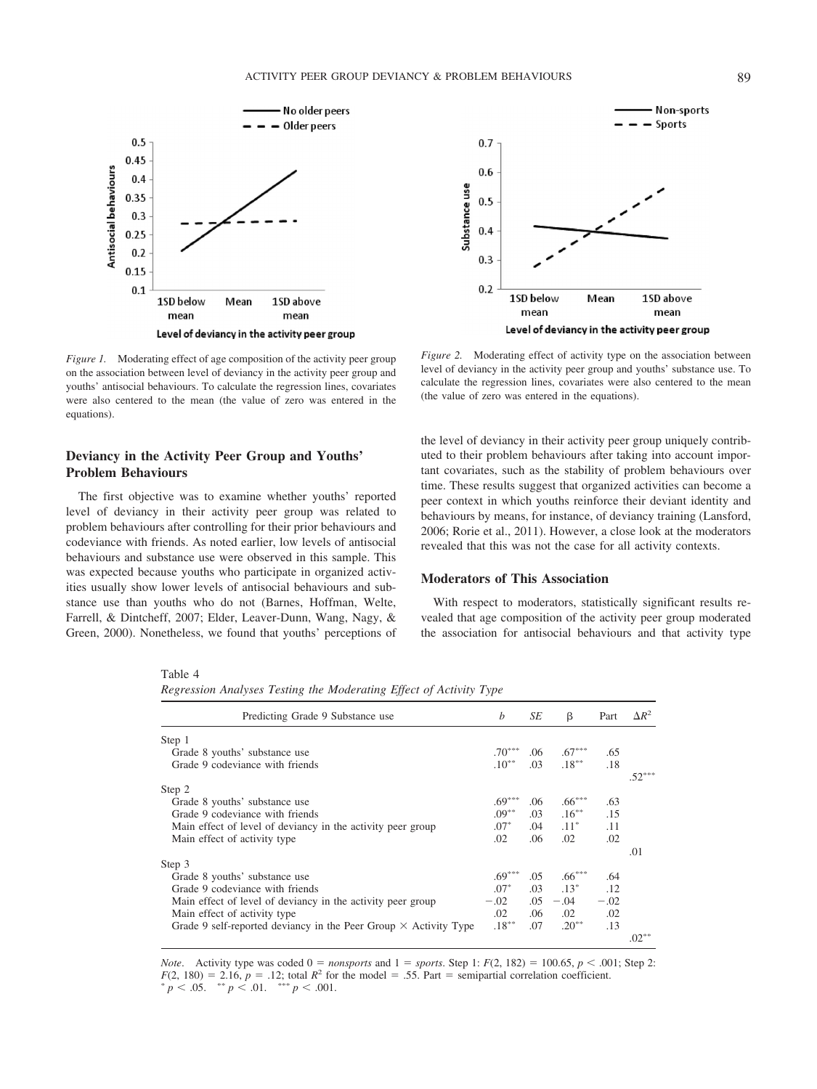



Level of deviancy in the activity peer group

*Figure 1.* Moderating effect of age composition of the activity peer group on the association between level of deviancy in the activity peer group and youths' antisocial behaviours. To calculate the regression lines, covariates were also centered to the mean (the value of zero was entered in the equations).

# **Deviancy in the Activity Peer Group and Youths' Problem Behaviours**

The first objective was to examine whether youths' reported level of deviancy in their activity peer group was related to problem behaviours after controlling for their prior behaviours and codeviance with friends. As noted earlier, low levels of antisocial behaviours and substance use were observed in this sample. This was expected because youths who participate in organized activities usually show lower levels of antisocial behaviours and substance use than youths who do not (Barnes, Hoffman, Welte, Farrell, & Dintcheff, 2007; Elder, Leaver-Dunn, Wang, Nagy, & Green, 2000). Nonetheless, we found that youths' perceptions of

Table 4

*Regression Analyses Testing the Moderating Effect of Activity Type*

| Predicting Grade 9 Substance use                                        | h        | SE  | β        | Part   | $\Delta R^2$ |
|-------------------------------------------------------------------------|----------|-----|----------|--------|--------------|
| Step 1                                                                  |          |     |          |        |              |
| Grade 8 youths' substance use                                           | $.70***$ | .06 | $.67***$ | .65    |              |
| Grade 9 codeviance with friends                                         | $.10***$ | .03 | $.18***$ | .18    |              |
|                                                                         |          |     |          |        | $.52***$     |
| Step 2                                                                  |          |     |          |        |              |
| Grade 8 youths' substance use                                           | $.69***$ | .06 | $.66***$ | .63    |              |
| Grade 9 codeviance with friends                                         | $.09***$ | .03 | $.16***$ | .15    |              |
| Main effect of level of deviancy in the activity peer group             | $.07*$   | .04 | $.11*$   | .11    |              |
| Main effect of activity type                                            | .02      | .06 | .02      | .02    |              |
|                                                                         |          |     |          |        | .01          |
| Step 3                                                                  |          |     |          |        |              |
| Grade 8 youths' substance use                                           | $.69***$ | .05 | $.66***$ | .64    |              |
| Grade 9 codeviance with friends                                         | $.07*$   | .03 | $.13*$   | .12    |              |
| Main effect of level of deviancy in the activity peer group             | $-.02$   | .05 | $-.04$   | $-.02$ |              |
| Main effect of activity type                                            | .02      | .06 | .02      | .02    |              |
| Grade 9 self-reported deviancy in the Peer Group $\times$ Activity Type | $.18***$ | .07 | $.20***$ | .13    |              |
|                                                                         |          |     |          |        | $.02**$      |

*Note.* Activity type was coded  $0 = nonsports$  and  $1 = sports$ . Step 1:  $F(2, 182) = 100.65$ ,  $p < .001$ ; Step 2: *F*(2, 180) = 2.16, *p* = .12; total *R*<sup>2</sup> for the model = .55. Part = semipartial correlation coefficient.  $p < .05$ .  $p \ne 0.01$ .  $p \ne 0.001$ .

*Figure 2.* Moderating effect of activity type on the association between level of deviancy in the activity peer group and youths' substance use. To calculate the regression lines, covariates were also centered to the mean (the value of zero was entered in the equations).

the level of deviancy in their activity peer group uniquely contributed to their problem behaviours after taking into account important covariates, such as the stability of problem behaviours over time. These results suggest that organized activities can become a peer context in which youths reinforce their deviant identity and behaviours by means, for instance, of deviancy training (Lansford, 2006; Rorie et al., 2011). However, a close look at the moderators revealed that this was not the case for all activity contexts.

#### **Moderators of This Association**

With respect to moderators, statistically significant results revealed that age composition of the activity peer group moderated the association for antisocial behaviours and that activity type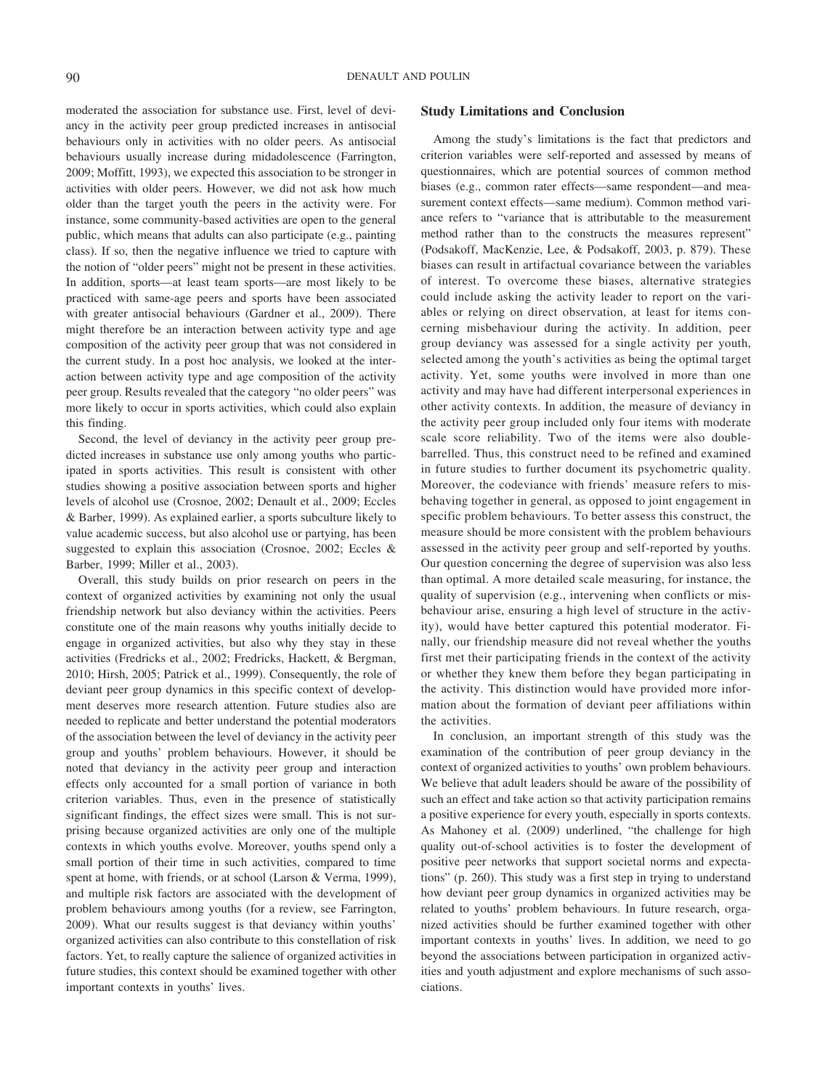moderated the association for substance use. First, level of deviancy in the activity peer group predicted increases in antisocial behaviours only in activities with no older peers. As antisocial behaviours usually increase during midadolescence (Farrington, 2009; Moffitt, 1993), we expected this association to be stronger in activities with older peers. However, we did not ask how much older than the target youth the peers in the activity were. For instance, some community-based activities are open to the general public, which means that adults can also participate (e.g., painting class). If so, then the negative influence we tried to capture with the notion of "older peers" might not be present in these activities. In addition, sports—at least team sports—are most likely to be practiced with same-age peers and sports have been associated with greater antisocial behaviours (Gardner et al., 2009). There might therefore be an interaction between activity type and age composition of the activity peer group that was not considered in the current study. In a post hoc analysis, we looked at the interaction between activity type and age composition of the activity peer group. Results revealed that the category "no older peers" was more likely to occur in sports activities, which could also explain this finding.

Second, the level of deviancy in the activity peer group predicted increases in substance use only among youths who participated in sports activities. This result is consistent with other studies showing a positive association between sports and higher levels of alcohol use (Crosnoe, 2002; Denault et al., 2009; Eccles & Barber, 1999). As explained earlier, a sports subculture likely to value academic success, but also alcohol use or partying, has been suggested to explain this association (Crosnoe, 2002; Eccles & Barber, 1999; Miller et al., 2003).

Overall, this study builds on prior research on peers in the context of organized activities by examining not only the usual friendship network but also deviancy within the activities. Peers constitute one of the main reasons why youths initially decide to engage in organized activities, but also why they stay in these activities (Fredricks et al., 2002; Fredricks, Hackett, & Bergman, 2010; Hirsh, 2005; Patrick et al., 1999). Consequently, the role of deviant peer group dynamics in this specific context of development deserves more research attention. Future studies also are needed to replicate and better understand the potential moderators of the association between the level of deviancy in the activity peer group and youths' problem behaviours. However, it should be noted that deviancy in the activity peer group and interaction effects only accounted for a small portion of variance in both criterion variables. Thus, even in the presence of statistically significant findings, the effect sizes were small. This is not surprising because organized activities are only one of the multiple contexts in which youths evolve. Moreover, youths spend only a small portion of their time in such activities, compared to time spent at home, with friends, or at school (Larson & Verma, 1999), and multiple risk factors are associated with the development of problem behaviours among youths (for a review, see Farrington, 2009). What our results suggest is that deviancy within youths' organized activities can also contribute to this constellation of risk factors. Yet, to really capture the salience of organized activities in future studies, this context should be examined together with other important contexts in youths' lives.

# **Study Limitations and Conclusion**

Among the study's limitations is the fact that predictors and criterion variables were self-reported and assessed by means of questionnaires, which are potential sources of common method biases (e.g., common rater effects—same respondent—and measurement context effects—same medium). Common method variance refers to "variance that is attributable to the measurement method rather than to the constructs the measures represent" (Podsakoff, MacKenzie, Lee, & Podsakoff, 2003, p. 879). These biases can result in artifactual covariance between the variables of interest. To overcome these biases, alternative strategies could include asking the activity leader to report on the variables or relying on direct observation, at least for items concerning misbehaviour during the activity. In addition, peer group deviancy was assessed for a single activity per youth, selected among the youth's activities as being the optimal target activity. Yet, some youths were involved in more than one activity and may have had different interpersonal experiences in other activity contexts. In addition, the measure of deviancy in the activity peer group included only four items with moderate scale score reliability. Two of the items were also doublebarrelled. Thus, this construct need to be refined and examined in future studies to further document its psychometric quality. Moreover, the codeviance with friends' measure refers to misbehaving together in general, as opposed to joint engagement in specific problem behaviours. To better assess this construct, the measure should be more consistent with the problem behaviours assessed in the activity peer group and self-reported by youths. Our question concerning the degree of supervision was also less than optimal. A more detailed scale measuring, for instance, the quality of supervision (e.g., intervening when conflicts or misbehaviour arise, ensuring a high level of structure in the activity), would have better captured this potential moderator. Finally, our friendship measure did not reveal whether the youths first met their participating friends in the context of the activity or whether they knew them before they began participating in the activity. This distinction would have provided more information about the formation of deviant peer affiliations within the activities.

In conclusion, an important strength of this study was the examination of the contribution of peer group deviancy in the context of organized activities to youths' own problem behaviours. We believe that adult leaders should be aware of the possibility of such an effect and take action so that activity participation remains a positive experience for every youth, especially in sports contexts. As Mahoney et al. (2009) underlined, "the challenge for high quality out-of-school activities is to foster the development of positive peer networks that support societal norms and expectations" (p. 260). This study was a first step in trying to understand how deviant peer group dynamics in organized activities may be related to youths' problem behaviours. In future research, organized activities should be further examined together with other important contexts in youths' lives. In addition, we need to go beyond the associations between participation in organized activities and youth adjustment and explore mechanisms of such associations.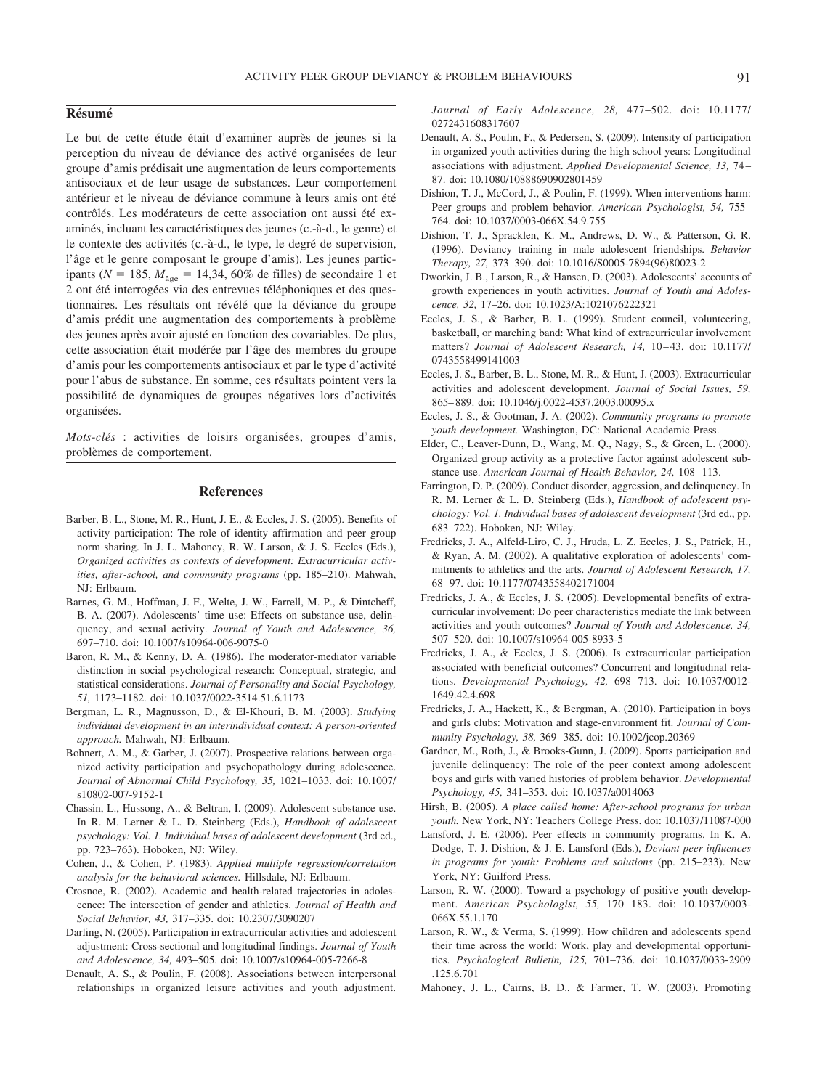# **Re´sume´**

Le but de cette étude était d'examiner auprès de jeunes si la perception du niveau de déviance des activé organisées de leur groupe d'amis prédisait une augmentation de leurs comportements antisociaux et de leur usage de substances. Leur comportement antérieur et le niveau de déviance commune à leurs amis ont été contrôlés. Les modérateurs de cette association ont aussi été examinés, incluant les caractéristiques des jeunes (c.-à-d., le genre) et le contexte des activités (c.-à-d., le type, le degré de supervision, l'âge et le genre composant le groupe d'amis). Les jeunes participants ( $N = 185$ ,  $M_{\text{age}} = 14,34,60\%$  de filles) de secondaire 1 et 2 ont été interrogées via des entrevues téléphoniques et des questionnaires. Les résultats ont révélé que la déviance du groupe d'amis prédit une augmentation des comportements à problème des jeunes après avoir ajusté en fonction des covariables. De plus, cette association était modérée par l'âge des membres du groupe d'amis pour les comportements antisociaux et par le type d'activite´ pour l'abus de substance. En somme, ces résultats pointent vers la possibilité de dynamiques de groupes négatives lors d'activités organisées.

*Mots-clés* : activities de loisirs organisées, groupes d'amis, problèmes de comportement.

#### **References**

- Barber, B. L., Stone, M. R., Hunt, J. E., & Eccles, J. S. (2005). Benefits of activity participation: The role of identity affirmation and peer group norm sharing. In J. L. Mahoney, R. W. Larson, & J. S. Eccles (Eds.), *Organized activities as contexts of development: Extracurricular activities, after-school, and community programs* (pp. 185–210). Mahwah, NJ: Erlbaum.
- Barnes, G. M., Hoffman, J. F., Welte, J. W., Farrell, M. P., & Dintcheff, B. A. (2007). Adolescents' time use: Effects on substance use, delinquency, and sexual activity. *Journal of Youth and Adolescence, 36,* 697–710. doi: 10.1007/s10964-006-9075-0
- Baron, R. M., & Kenny, D. A. (1986). The moderator-mediator variable distinction in social psychological research: Conceptual, strategic, and statistical considerations. *Journal of Personality and Social Psychology, 51,* 1173–1182. doi: 10.1037/0022-3514.51.6.1173
- Bergman, L. R., Magnusson, D., & El-Khouri, B. M. (2003). *Studying individual development in an interindividual context: A person-oriented approach.* Mahwah, NJ: Erlbaum.
- Bohnert, A. M., & Garber, J. (2007). Prospective relations between organized activity participation and psychopathology during adolescence. *Journal of Abnormal Child Psychology, 35,* 1021–1033. doi: 10.1007/ s10802-007-9152-1
- Chassin, L., Hussong, A., & Beltran, I. (2009). Adolescent substance use. In R. M. Lerner & L. D. Steinberg (Eds.), *Handbook of adolescent psychology: Vol. 1. Individual bases of adolescent development* (3rd ed., pp. 723–763). Hoboken, NJ: Wiley.
- Cohen, J., & Cohen, P. (1983). *Applied multiple regression/correlation analysis for the behavioral sciences.* Hillsdale, NJ: Erlbaum.
- Crosnoe, R. (2002). Academic and health-related trajectories in adolescence: The intersection of gender and athletics. *Journal of Health and Social Behavior, 43,* 317–335. doi: 10.2307/3090207
- Darling, N. (2005). Participation in extracurricular activities and adolescent adjustment: Cross-sectional and longitudinal findings. *Journal of Youth and Adolescence, 34,* 493–505. doi: 10.1007/s10964-005-7266-8
- Denault, A. S., & Poulin, F. (2008). Associations between interpersonal relationships in organized leisure activities and youth adjustment.

*Journal of Early Adolescence, 28,* 477–502. doi: 10.1177/ 0272431608317607

- Denault, A. S., Poulin, F., & Pedersen, S. (2009). Intensity of participation in organized youth activities during the high school years: Longitudinal associations with adjustment. *Applied Developmental Science, 13,* 74 – 87. doi: 10.1080/10888690902801459
- Dishion, T. J., McCord, J., & Poulin, F. (1999). When interventions harm: Peer groups and problem behavior. *American Psychologist, 54,* 755– 764. doi: 10.1037/0003-066X.54.9.755
- Dishion, T. J., Spracklen, K. M., Andrews, D. W., & Patterson, G. R. (1996). Deviancy training in male adolescent friendships. *Behavior Therapy, 27,* 373–390. doi: 10.1016/S0005-7894(96)80023-2
- Dworkin, J. B., Larson, R., & Hansen, D. (2003). Adolescents' accounts of growth experiences in youth activities. *Journal of Youth and Adolescence, 32,* 17–26. doi: 10.1023/A:1021076222321
- Eccles, J. S., & Barber, B. L. (1999). Student council, volunteering, basketball, or marching band: What kind of extracurricular involvement matters? *Journal of Adolescent Research, 14, 10-43. doi: 10.1177/* 0743558499141003
- Eccles, J. S., Barber, B. L., Stone, M. R., & Hunt, J. (2003). Extracurricular activities and adolescent development. *Journal of Social Issues, 59,* 865– 889. doi: 10.1046/j.0022-4537.2003.00095.x
- Eccles, J. S., & Gootman, J. A. (2002). *Community programs to promote youth development.* Washington, DC: National Academic Press.
- Elder, C., Leaver-Dunn, D., Wang, M. Q., Nagy, S., & Green, L. (2000). Organized group activity as a protective factor against adolescent substance use. *American Journal of Health Behavior*, 24, 108-113.
- Farrington, D. P. (2009). Conduct disorder, aggression, and delinquency. In R. M. Lerner & L. D. Steinberg (Eds.), *Handbook of adolescent psychology: Vol. 1. Individual bases of adolescent development* (3rd ed., pp. 683–722). Hoboken, NJ: Wiley.
- Fredricks, J. A., Alfeld-Liro, C. J., Hruda, L. Z. Eccles, J. S., Patrick, H., & Ryan, A. M. (2002). A qualitative exploration of adolescents' commitments to athletics and the arts. *Journal of Adolescent Research, 17,* 68 –97. doi: 10.1177/0743558402171004
- Fredricks, J. A., & Eccles, J. S. (2005). Developmental benefits of extracurricular involvement: Do peer characteristics mediate the link between activities and youth outcomes? *Journal of Youth and Adolescence, 34,* 507–520. doi: 10.1007/s10964-005-8933-5
- Fredricks, J. A., & Eccles, J. S. (2006). Is extracurricular participation associated with beneficial outcomes? Concurrent and longitudinal relations. *Developmental Psychology, 42,* 698 –713. doi: 10.1037/0012- 1649.42.4.698
- Fredricks, J. A., Hackett, K., & Bergman, A. (2010). Participation in boys and girls clubs: Motivation and stage-environment fit. *Journal of Community Psychology, 38,* 369 –385. doi: 10.1002/jcop.20369
- Gardner, M., Roth, J., & Brooks-Gunn, J. (2009). Sports participation and juvenile delinquency: The role of the peer context among adolescent boys and girls with varied histories of problem behavior. *Developmental Psychology, 45,* 341–353. doi: 10.1037/a0014063
- Hirsh, B. (2005). *A place called home: After-school programs for urban youth.* New York, NY: Teachers College Press. doi: 10.1037/11087-000
- Lansford, J. E. (2006). Peer effects in community programs. In K. A. Dodge, T. J. Dishion, & J. E. Lansford (Eds.), *Deviant peer influences in programs for youth: Problems and solutions* (pp. 215–233). New York, NY: Guilford Press.
- Larson, R. W. (2000). Toward a psychology of positive youth development. *American Psychologist, 55,* 170 –183. doi: 10.1037/0003- 066X.55.1.170
- Larson, R. W., & Verma, S. (1999). How children and adolescents spend their time across the world: Work, play and developmental opportunities. *Psychological Bulletin, 125,* 701–736. doi: 10.1037/0033-2909 .125.6.701
- Mahoney, J. L., Cairns, B. D., & Farmer, T. W. (2003). Promoting